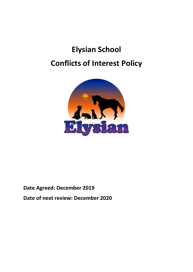# **Elysian School Conflicts of Interest Policy**



# **Date Agreed: December 2019 Date of next review: December 2020**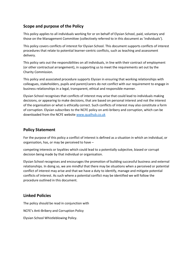# **Scope and purpose of the Policy**

This policy applies to all individuals working for or on behalf of Elysian School, paid, voluntary and those on the Management Committee (collectively referred to in this document as 'individuals').

This policy covers conflicts of interest for Elysian School. This document supports conflicts of interest procedures that relate to potential learner-centric conflicts, such as teaching and assessment delivery.

This policy sets out the responsibilities on all individuals, in line with their contract of employment (or other contractual arrangement), in supporting us to meet the requirements set out by the Charity Commission.

This policy and associated procedure supports Elysian in ensuring that working relationships with colleagues, stakeholders, pupils and parent/carers do not conflict with our requirement to engage in business relationships in a legal, transparent, ethical and responsible manner.

Elysian School recognises that conflicts of interest may arise that could lead to individuals making decisions, or appearing to make decisions, that are based on personal interest and not the interest of the organisation or what is ethically correct. Such conflicts of interest may also constitute a form of corruption. Elysian subscribes to the NCFE policy on anti-bribery and corruption, which can be downloaded from the NCFE websit[e www.qualhub.co.uk](http://www.qualhub.co.uk/)

# **Policy Statement**

For the purpose of this policy a conflict of interest is defined as a situation in which an individual, or organisation, has, or may be perceived to have –

competing interests or loyalties which could lead to a potentially subjective, biased or corrupt decision being made by that individual or organisation.

Elysian School recognises and encourages the promotion of building successful business and external relationships. In doing so, we are mindful that there may be situations when a perceived or potential conflict of interest may arise and that we have a duty to identify, manage and mitigate potential conflicts of interest. As such where a potential conflict may be identified we will follow the procedure outlined in this document.

# **Linked Policies**

The policy should be read in conjunction with

NCFE's Anti-Bribery and Corruption Policy

Elysian School Whistleblowing Policy.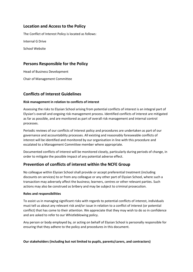# **Location and Access to the Policy**

The Conflict of Interest Policy is located as follows:

Internal G Drive

School Website

# **Persons Responsible for the Policy**

Head of Business Development

Chair of Management Committee

# **Conflicts of Interest Guidelines**

#### **Risk management in relation to conflicts of interest**

Assessing the risks to Elysian School arising from potential conflicts of interest is an integral part of Elysian's overall and ongoing risk management process. Identified conflicts of interest are mitigated as far as possible, and are monitored as part of overall risk management and internal control processes.

Periodic reviews of our conflicts of interest policy and procedures are undertaken as part of our governance and accountability processes. All existing and reasonably foreseeable conflicts of interest will be identified and monitored by our organisation in line with this procedure and escalated to a Management Committee member where appropriate.

Documented conflicts of interest will be monitored closely, particularly during periods of change, in order to mitigate the possible impact of any potential adverse effect.

# **Prevention of conflicts of interest within the NCFE Group**

No colleague within Elysian School shall provide or accept preferential treatment (including discounts on services) to or from any colleague or any other part of Elysian School, where such a transaction may adversely affect the business; learners, centres or other relevant parties. Such actions may also be construed as bribery and may be subject to criminal prosecution.

#### **Roles and responsibilities**

To assist us in managing significant risks with regards to potential conflicts of interest, individuals must tell us about any relevant risk and/or issue in relation to a conflict of interest (or potential conflict) that has come to their attention. We appreciate that they may wish to do so in confidence and are asked to refer to our Whistleblowing policy.

Any person or body employed by, or acting on behalf of Elysian School is personally responsible for ensuring that they adhere to the policy and procedures in this document.

#### **Our stakeholders (including but not limited to pupils, parents/carers, and contractors)**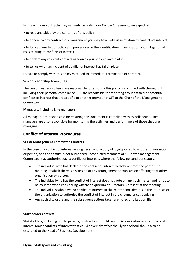In line with our contractual agreements, including our Centre Agreement, we expect all:

- to read and abide by the contents of this policy
- to adhere to any contractual arrangement you may have with us in relation to conflicts of interest

• to fully adhere to our policy and procedures in the identification, minimisation and mitigation of risks relating to conflicts of interest

- to declare any relevant conflicts as soon as you become aware of it
- to tell us when an incident of conflict of interest has taken place.

Failure to comply with this policy may lead to immediate termination of contract.

#### **Senior Leadership Team (SLT)**

The Senior Leadership team are responsible for ensuring this policy is complied with throughout including their personal compliance. SLT are responsible for reporting any identified or potential conflicts of interest that are specific to another member of SLT to the Chair of the Management Committee.

#### **Managers, including Line managers**

All managers are responsible for ensuring this document is complied with by colleagues. Line managers are also responsible for monitoring the activities and performance of those they are managing.

### **Conflict of Interest Procedures**

#### **SLT or Management Committee Conflicts**

In the case of a conflict of interest arising because of a duty of loyalty owed to another organisation or person, and the conflict is not authorised unconflicted members of SLT or the management Committee may authorise such a conflict of interests where the following conditions apply:

- The individual who has declared the conflict of interest withdraws from the part of the meeting at which there is discussion of any arrangement or transaction affecting that other organisation or person.
- The individua lwho has the conflict of interest does not vote on any such matter and is not to be counted when considering whether a quorum of Directors is present at the meeting.
- The individuals who have no conflict of interest in this matter consider it is in the interests of the organisation to authorise the conflict of interest in the circumstances applying.
- Any such disclosure and the subsequent actions taken are noted and kept on file.

#### **Stakeholder conflicts**

Stakeholders, including pupils, parents, contractors, should report risks or instances of conflicts of interes. Major conflicts of interest that could adversely affect the Elysian School should also be escalated to the Head of Business Development.

#### **Elysian Staff (paid and voluntary)**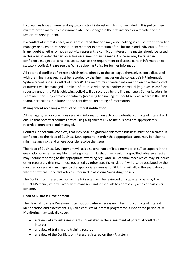If colleagues have a query relating to conflicts of interest which is not included in this policy, they must refer the matter to their immediate line manager in the first instance or a member of the Senior Leadership Team.

If a conflict of interest arises, or it is anticipated that one may arise, colleagues must inform their line manager or a Senior Leadership Team member in protection of the business and individuals. If there is any doubt whether or not an activity represents a conflict of interest, the matter should be raised in this way, in order that an objective assessment may be made. Concerns may be raised in confidence (subject to certain caveats, such as the requirement to disclose certain information to statutory bodies). Please see the Whistleblowing Policy for further information.

All potential conflicts of interest which relate directly to the colleague themselves, once discussed with their line manager, must be recorded by the line manager on the colleague's HR Information System record under 'Conflict of Interest'. The record must contain information on how the conflict of interest will be managed. Conflicts of Interest relating to another individual (e.g. such as conflicts reported under the Whistleblowing policy) will be recorded by the line manager/ Senior Leadership Team member, subject to confidentiality (receiving line managers should seek advice from the HRD team), particularly in relation to the confidential recording of information.

#### **Management receiving a Conflict of Interest notification**

All managers/senior colleagues receiving information on actual or potential conflicts of interest will ensure that potential conflicts not causing a significant risk to the business are appropriately recorded, monitored and managed.

Conflicts, or potential conflicts, that may pose a significant risk to the business must be escalated in confidence to the Head of Business Development, in order that appropriate steps may be taken to minimise any risks and where possible resolve the issue.

The Head of Business Development will ask a second, unconflicted member of SLT to support in the evaluation of whether any identified significant risks that may result in a specified adverse effect and may require reporting to the appropriate awarding regulator(s). Potential cases which may introduce other regulatory risks (e.g. those governed by other specific legislation) will also be escalated by the most senior receiving manager to the appropriate member of SLT. This will allow the evaluation of whether external specialist advice is required in assessing/mitigating the risk.

The Conflicts of Interest section on the HR system will be reviewed on a quarterly basis by the HRD/HRIS teams, who will work with managers and individuals to address any areas of particular concern.

#### **Head of Business Development**

The Head of Business Develoment can support where necessary in terms of conflicts of interest identification and assessment. Elysian's conflicts of interest programme is monitored periodically. Monitoring may typically cover:

- a review of any risk assessments undertaken in the assessment of potential conflicts of interest
- a review of training and training records
- a review of the Conflicts of Interest registered on the HR system.